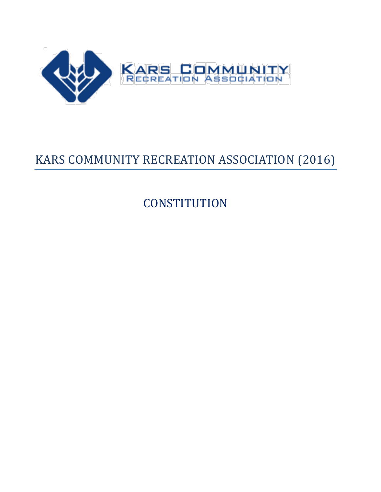

# KARS COMMUNITY RECREATION ASSOCIATION (2016)

**CONSTITUTION**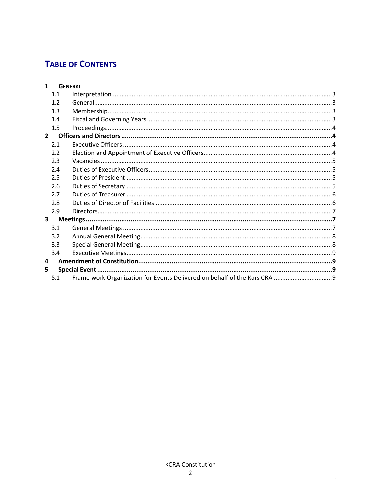# **TABLE OF CONTENTS**

| $\mathbf{1}$ |     | <b>GENERAL</b> |  |  |  |  |
|--------------|-----|----------------|--|--|--|--|
|              | 1.1 |                |  |  |  |  |
|              | 1.2 |                |  |  |  |  |
|              | 1.3 |                |  |  |  |  |
|              | 1.4 |                |  |  |  |  |
|              | 1.5 |                |  |  |  |  |
| $2^{\circ}$  |     |                |  |  |  |  |
|              | 2.1 |                |  |  |  |  |
|              | 2.2 |                |  |  |  |  |
|              | 2.3 |                |  |  |  |  |
|              | 2.4 |                |  |  |  |  |
|              | 2.5 |                |  |  |  |  |
|              | 2.6 |                |  |  |  |  |
|              | 2.7 |                |  |  |  |  |
|              | 2.8 |                |  |  |  |  |
|              | 2.9 |                |  |  |  |  |
| $\mathbf{3}$ |     |                |  |  |  |  |
|              | 3.1 |                |  |  |  |  |
|              | 3.2 |                |  |  |  |  |
|              | 3.3 |                |  |  |  |  |
|              | 3.4 |                |  |  |  |  |
| 4            |     |                |  |  |  |  |
| 5            |     |                |  |  |  |  |
|              | 5.1 |                |  |  |  |  |
|              |     |                |  |  |  |  |

 $\hat{\mathcal{A}}$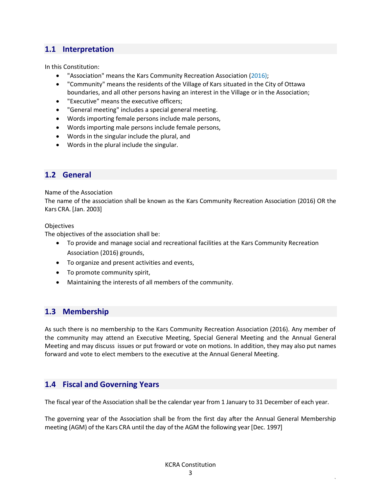# <span id="page-2-0"></span>**1.1 Interpretation**

In this Constitution:

- "Association" means the Kars Community Recreation Association (2016);
- "Community" means the residents of the Village of Kars situated in the City of Ottawa boundaries, and all other persons having an interest in the Village or in the Association;
- "Executive" means the executive officers;
- "General meeting" includes a special general meeting.
- Words importing female persons include male persons,
- Words importing male persons include female persons,
- Words in the singular include the plural, and
- Words in the plural include the singular.

#### <span id="page-2-1"></span>**1.2 General**

Name of the Association

The name of the association shall be known as the Kars Community Recreation Association (2016) OR the Kars CRA. [Jan. 2003]

#### **Objectives**

The objectives of the association shall be:

- To provide and manage social and recreational facilities at the Kars Community Recreation Association (2016) grounds,
- To organize and present activities and events,
- To promote community spirit,
- Maintaining the interests of all members of the community.

#### <span id="page-2-2"></span>**1.3 Membership**

As such there is no membership to the Kars Community Recreation Association (2016). Any member of the community may attend an Executive Meeting, Special General Meeting and the Annual General Meeting and may discuss issues or put froward or vote on motions. In addition, they may also put names forward and vote to elect members to the executive at the Annual General Meeting.

#### <span id="page-2-3"></span>**1.4 Fiscal and Governing Years**

The fiscal year of the Association shall be the calendar year from 1 January to 31 December of each year.

The governing year of the Association shall be from the first day after the Annual General Membership meeting (AGM) of the Kars CRA until the day of the AGM the following year [Dec. 1997]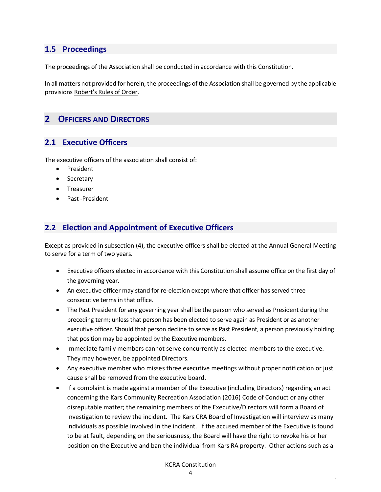#### <span id="page-3-0"></span>**1.5 Proceedings**

**T**he proceedings of the Association shall be conducted in accordance with this Constitution.

In all matters not provided for herein, the proceedings of the Association shall be governed by the applicable provisions Robert's Rules of Order.

# <span id="page-3-1"></span>**2 OFFICERS AND DIRECTORS**

#### <span id="page-3-2"></span>**2.1 Executive Officers**

The executive officers of the association shall consist of:

- President
- Secretary
- Treasurer
- Past -President

#### <span id="page-3-3"></span>**2.2 Election and Appointment of Executive Officers**

Except as provided in subsection (4), the executive officers shall be elected at the Annual General Meeting to serve for a term of two years.

- Executive officers elected in accordance with this Constitution shall assume office on the first day of the governing year.
- An executive officer may stand for re-election except where that officer has served three consecutive terms in that office.
- The Past President for any governing year shall be the person who served as President during the preceding term; unless that person has been elected to serve again as President or as another executive officer. Should that person decline to serve as Past President, a person previously holding that position may be appointed by the Executive members.
- Immediate family members cannot serve concurrently as elected members to the executive. They may however, be appointed Directors.
- Any executive member who misses three executive meetings without proper notification or just cause shall be removed from the executive board.
- If a complaint is made against a member of the Executive (including Directors) regarding an act concerning the Kars Community Recreation Association (2016) Code of Conduct or any other disreputable matter; the remaining members of the Executive/Directors will form a Board of Investigation to review the incident. The Kars CRA Board of Investigation will interview as many individuals as possible involved in the incident. If the accused member of the Executive is found to be at fault, depending on the seriousness, the Board will have the right to revoke his or her position on the Executive and ban the individual from Kars RA property. Other actions such as a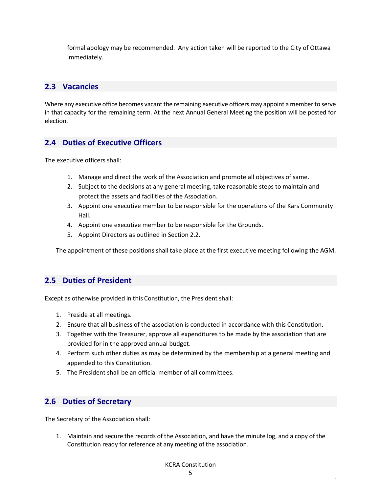formal apology may be recommended. Any action taken will be reported to the City of Ottawa immediately.

# <span id="page-4-0"></span>**2.3 Vacancies**

Where any executive office becomes vacant the remaining executive officers may appoint a member to serve in that capacity for the remaining term. At the next Annual General Meeting the position will be posted for election.

# <span id="page-4-1"></span>**2.4 Duties of Executive Officers**

The executive officers shall:

- 1. Manage and direct the work of the Association and promote all objectives of same.
- 2. Subject to the decisions at any general meeting, take reasonable steps to maintain and protect the assets and facilities of the Association.
- 3. Appoint one executive member to be responsible for the operations of the Kars Community Hall.
- 4. Appoint one executive member to be responsible for the Grounds.
- 5. Appoint Directors as outlined in Section 2.2.

The appointment of these positions shall take place at the first executive meeting following the AGM.

# <span id="page-4-2"></span>**2.5 Duties of President**

Except as otherwise provided in this Constitution, the President shall:

- 1. Preside at all meetings.
- 2. Ensure that all business of the association is conducted in accordance with this Constitution.
- 3. Together with the Treasurer, approve all expenditures to be made by the association that are provided for in the approved annual budget.
- 4. Perform such other duties as may be determined by the membership at a general meeting and appended to this Constitution.
- 5. The President shall be an official member of all committees.

# <span id="page-4-3"></span>**2.6 Duties of Secretary**

The Secretary of the Association shall:

1. Maintain and secure the records of the Association, and have the minute log, and a copy of the Constitution ready for reference at any meeting of the association.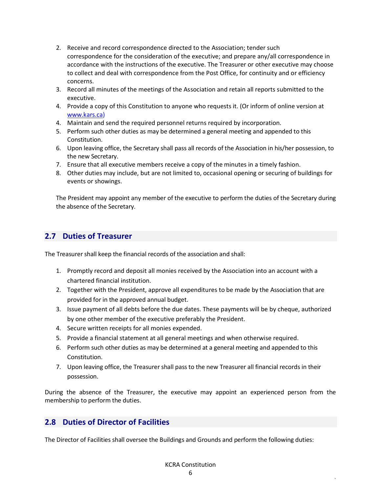- 2. Receive and record correspondence directed to the Association; tender such correspondence for the consideration of the executive; and prepare any/all correspondence in accordance with the instructions of the executive. The Treasurer or other executive may choose to collect and deal with correspondence from the Post Office, for continuity and or efficiency concerns.
- 3. Record all minutes of the meetings of the Association and retain all reports submitted to the executive.
- 4. Provide a copy of this Constitution to anyone who requests it. (Or inform of online version at [www.kars.ca\)](http://www.kars.ca/)
- 4. Maintain and send the required personnel returns required by incorporation.
- 5. Perform such other duties as may be determined a general meeting and appended to this Constitution.
- 6. Upon leaving office, the Secretary shall pass all records of the Association in his/her possession, to the new Secretary.
- 7. Ensure that all executive members receive a copy of the minutes in a timely fashion.
- 8. Other duties may include, but are not limited to, occasional opening or securing of buildings for events or showings.

The President may appoint any member of the executive to perform the duties of the Secretary during the absence of the Secretary.

# <span id="page-5-0"></span>**2.7 Duties of Treasurer**

The Treasurer shall keep the financial records of the association and shall:

- 1. Promptly record and deposit all monies received by the Association into an account with a chartered financial institution.
- 2. Together with the President, approve all expenditures to be made by the Association that are provided for in the approved annual budget.
- 3. Issue payment of all debts before the due dates. These payments will be by cheque, authorized by one other member of the executive preferably the President.
- 4. Secure written receipts for all monies expended.
- 5. Provide a financial statement at all general meetings and when otherwise required.
- 6. Perform such other duties as may be determined at a general meeting and appended to this Constitution.
- 7. Upon leaving office, the Treasurer shall pass to the new Treasurer all financial records in their possession.

During the absence of the Treasurer, the executive may appoint an experienced person from the membership to perform the duties.

#### <span id="page-5-1"></span>**2.8 Duties of Director of Facilities**

The Director of Facilities shall oversee the Buildings and Grounds and perform the following duties: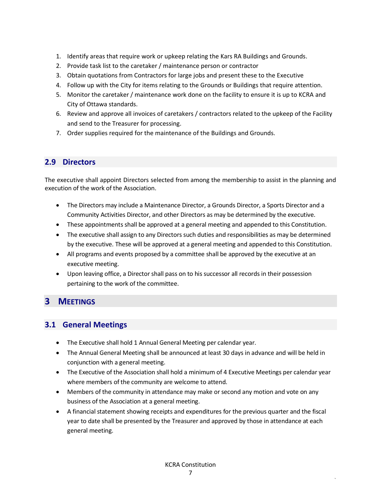- 1. Identify areas that require work or upkeep relating the Kars RA Buildings and Grounds.
- 2. Provide task list to the caretaker / maintenance person or contractor
- 3. Obtain quotations from Contractors for large jobs and present these to the Executive
- 4. Follow up with the City for items relating to the Grounds or Buildings that require attention.
- 5. Monitor the caretaker / maintenance work done on the facility to ensure it is up to KCRA and City of Ottawa standards.
- 6. Review and approve all invoices of caretakers / contractors related to the upkeep of the Facility and send to the Treasurer for processing.
- 7. Order supplies required for the maintenance of the Buildings and Grounds.

# <span id="page-6-0"></span>**2.9 Directors**

The executive shall appoint Directors selected from among the membership to assist in the planning and execution of the work of the Association.

- The Directors may include a Maintenance Director, a Grounds Director, a Sports Director and a Community Activities Director, and other Directors as may be determined by the executive.
- These appointments shall be approved at a general meeting and appended to this Constitution.
- The executive shall assign to any Directors such duties and responsibilities as may be determined by the executive. These will be approved at a general meeting and appended to this Constitution.
- All programs and events proposed by a committee shall be approved by the executive at an executive meeting.
- Upon leaving office, a Director shall pass on to his successor all records in their possession pertaining to the work of the committee.

# <span id="page-6-1"></span>**3 MEETINGS**

#### <span id="page-6-2"></span>**3.1 General Meetings**

- The Executive shall hold 1 Annual General Meeting per calendar year.
- The Annual General Meeting shall be announced at least 30 days in advance and will be held in conjunction with a general meeting.
- The Executive of the Association shall hold a minimum of 4 Executive Meetings per calendar year where members of the community are welcome to attend.
- Members of the community in attendance may make or second any motion and vote on any business of the Association at a general meeting.
- A financial statement showing receipts and expenditures for the previous quarter and the fiscal year to date shall be presented by the Treasurer and approved by those in attendance at each general meeting.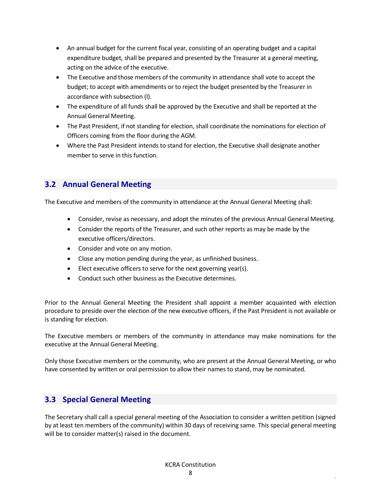- An annual budget for the current fiscal year, consisting of an operating budget and a capital expenditure budget, shall be prepared and presented by the Treasurer at a general meeting, acting on the advice of the executive.
- The Executive and those members of the community in attendance shall vote to accept the budget; to accept with amendments or to reject the budget presented by the Treasurer in accordance with subsection (l).
- The expenditure of all funds shall be approved by the Executive and shall be reported at the Annual General Meeting.
- The Past President, if not standing for election, shall coordinate the nominations for election of Officers coming from the floor during the AGM.
- Where the Past President intends to stand for election, the Executive shall designate another member to serve in this function.

# <span id="page-7-0"></span>**3.2 Annual General Meeting**

The Executive and members of the community in attendance at the Annual General Meeting shall:

- Consider, revise as necessary, and adopt the minutes of the previous Annual General Meeting.
- Consider the reports of the Treasurer, and such other reports as may be made by the executive officers/directors.
- Consider and vote on any motion.
- Close any motion pending during the year, as unfinished business.
- Elect executive officers to serve for the next governing year(s).
- Conduct such other business as the Executive determines.

Prior to the Annual General Meeting the President shall appoint a member acquainted with election procedure to preside over the election of the new executive officers, if the Past President is not available or is standing for election.

The Executive members or members of the community in attendance may make nominations for the executive at the Annual General Meeting.

Only those Executive members or the community, who are present at the Annual General Meeting, or who have consented by written or oral permission to allow their names to stand, may be nominated.

# <span id="page-7-1"></span>**3.3 Special General Meeting**

The Secretary shall call a special general meeting of the Association to consider a written petition (signed by at least ten members of the community) within 30 days of receiving same. This special general meeting will be to consider matter(s) raised in the document.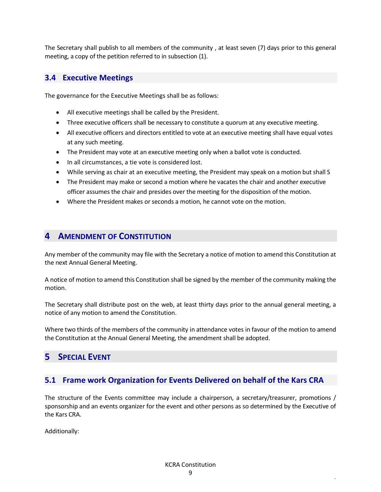The Secretary shall publish to all members of the community , at least seven (7) days prior to this general meeting, a copy of the petition referred to in subsection (1).

#### <span id="page-8-0"></span>**3.4 Executive Meetings**

The governance for the Executive Meetings shall be as follows:

- All executive meetings shall be called by the President.
- Three executive officers shall be necessary to constitute a quorum at any executive meeting.
- All executive officers and directors entitled to vote at an executive meeting shall have equal votes at any such meeting.
- The President may vote at an executive meeting only when a ballot vote is conducted.
- In all circumstances, a tie vote is considered lost.
- While serving as chair at an executive meeting, the President may speak on a motion but shall S
- The President may make or second a motion where he vacates the chair and another executive officer assumes the chair and presides over the meeting for the disposition of the motion.
- Where the President makes or seconds a motion, he cannot vote on the motion.

# <span id="page-8-1"></span>**4 AMENDMENT OF CONSTITUTION**

Any member of the community may file with the Secretary a notice of motion to amend this Constitution at the next Annual General Meeting.

A notice of motion to amend this Constitution shall be signed by the member of the community making the motion.

The Secretary shall distribute post on the web, at least thirty days prior to the annual general meeting, a notice of any motion to amend the Constitution.

Where two thirds of the members of the community in attendance votes in favour of the motion to amend the Constitution at the Annual General Meeting, the amendment shall be adopted.

# <span id="page-8-2"></span>**5 SPECIAL EVENT**

#### <span id="page-8-3"></span>**5.1 Frame work Organization for Events Delivered on behalf of the Kars CRA**

The structure of the Events committee may include a chairperson, a secretary/treasurer, promotions / sponsorship and an events organizer for the event and other persons as so determined by the Executive of the Kars CRA.

Additionally: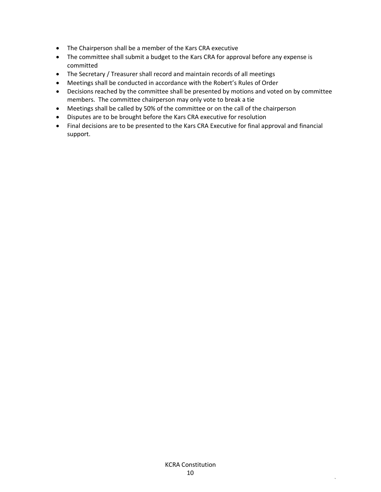- The Chairperson shall be a member of the Kars CRA executive
- The committee shall submit a budget to the Kars CRA for approval before any expense is committed
- The Secretary / Treasurer shall record and maintain records of all meetings
- Meetings shall be conducted in accordance with the Robert's Rules of Order
- Decisions reached by the committee shall be presented by motions and voted on by committee members. The committee chairperson may only vote to break a tie
- Meetings shall be called by 50% of the committee or on the call of the chairperson
- Disputes are to be brought before the Kars CRA executive for resolution
- Final decisions are to be presented to the Kars CRA Executive for final approval and financial support.